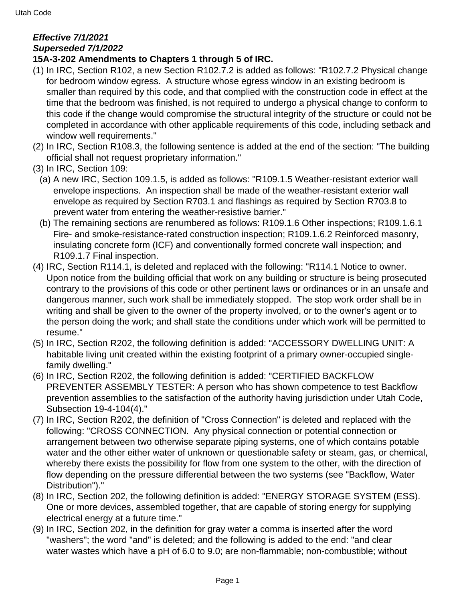## **Effective 7/1/2021 Superseded 7/1/2022**

## **15A-3-202 Amendments to Chapters 1 through 5 of IRC.**

- (1) In IRC, Section R102, a new Section R102.7.2 is added as follows: "R102.7.2 Physical change for bedroom window egress. A structure whose egress window in an existing bedroom is smaller than required by this code, and that complied with the construction code in effect at the time that the bedroom was finished, is not required to undergo a physical change to conform to this code if the change would compromise the structural integrity of the structure or could not be completed in accordance with other applicable requirements of this code, including setback and window well requirements."
- (2) In IRC, Section R108.3, the following sentence is added at the end of the section: "The building official shall not request proprietary information."
- (3) In IRC, Section 109:
	- (a) A new IRC, Section 109.1.5, is added as follows: "R109.1.5 Weather-resistant exterior wall envelope inspections. An inspection shall be made of the weather-resistant exterior wall envelope as required by Section R703.1 and flashings as required by Section R703.8 to prevent water from entering the weather-resistive barrier."
	- (b) The remaining sections are renumbered as follows: R109.1.6 Other inspections; R109.1.6.1 Fire- and smoke-resistance-rated construction inspection; R109.1.6.2 Reinforced masonry, insulating concrete form (ICF) and conventionally formed concrete wall inspection; and R109.1.7 Final inspection.
- (4) IRC, Section R114.1, is deleted and replaced with the following: "R114.1 Notice to owner. Upon notice from the building official that work on any building or structure is being prosecuted contrary to the provisions of this code or other pertinent laws or ordinances or in an unsafe and dangerous manner, such work shall be immediately stopped. The stop work order shall be in writing and shall be given to the owner of the property involved, or to the owner's agent or to the person doing the work; and shall state the conditions under which work will be permitted to resume."
- (5) In IRC, Section R202, the following definition is added: "ACCESSORY DWELLING UNIT: A habitable living unit created within the existing footprint of a primary owner-occupied singlefamily dwelling."
- (6) In IRC, Section R202, the following definition is added: "CERTIFIED BACKFLOW PREVENTER ASSEMBLY TESTER: A person who has shown competence to test Backflow prevention assemblies to the satisfaction of the authority having jurisdiction under Utah Code, Subsection 19-4-104(4)."
- (7) In IRC, Section R202, the definition of "Cross Connection" is deleted and replaced with the following: "CROSS CONNECTION. Any physical connection or potential connection or arrangement between two otherwise separate piping systems, one of which contains potable water and the other either water of unknown or questionable safety or steam, gas, or chemical, whereby there exists the possibility for flow from one system to the other, with the direction of flow depending on the pressure differential between the two systems (see "Backflow, Water Distribution")."
- (8) In IRC, Section 202, the following definition is added: "ENERGY STORAGE SYSTEM (ESS). One or more devices, assembled together, that are capable of storing energy for supplying electrical energy at a future time."
- (9) In IRC, Section 202, in the definition for gray water a comma is inserted after the word "washers"; the word "and" is deleted; and the following is added to the end: "and clear water wastes which have a pH of 6.0 to 9.0; are non-flammable; non-combustible; without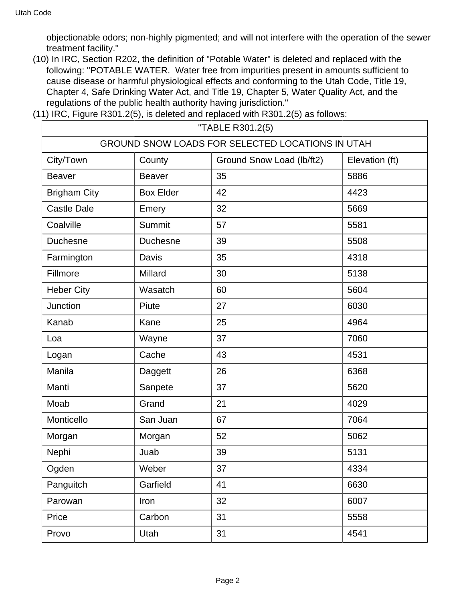objectionable odors; non-highly pigmented; and will not interfere with the operation of the sewer treatment facility."

- (10) In IRC, Section R202, the definition of "Potable Water" is deleted and replaced with the following: "POTABLE WATER. Water free from impurities present in amounts sufficient to cause disease or harmful physiological effects and conforming to the Utah Code, Title 19, Chapter 4, Safe Drinking Water Act, and Title 19, Chapter 5, Water Quality Act, and the regulations of the public health authority having jurisdiction."
- (11) IRC, Figure R301.2(5), is deleted and replaced with R301.2(5) as follows:

| "TABLE R301.2(5)                                 |                  |                           |                |  |
|--------------------------------------------------|------------------|---------------------------|----------------|--|
| GROUND SNOW LOADS FOR SELECTED LOCATIONS IN UTAH |                  |                           |                |  |
| City/Town                                        | County           | Ground Snow Load (lb/ft2) | Elevation (ft) |  |
| <b>Beaver</b>                                    | <b>Beaver</b>    | 35                        | 5886           |  |
| <b>Brigham City</b>                              | <b>Box Elder</b> | 42                        | 4423           |  |
| <b>Castle Dale</b>                               | Emery            | 32                        | 5669           |  |
| Coalville                                        | <b>Summit</b>    | 57                        | 5581           |  |
| <b>Duchesne</b>                                  | <b>Duchesne</b>  | 39                        | 5508           |  |
| Farmington                                       | <b>Davis</b>     | 35                        | 4318           |  |
| Fillmore                                         | Millard          | 30                        | 5138           |  |
| <b>Heber City</b>                                | Wasatch          | 60                        | 5604           |  |
| Junction                                         | Piute            | 27                        | 6030           |  |
| Kanab                                            | Kane             | 25                        | 4964           |  |
| Loa                                              | Wayne            | 37                        | 7060           |  |
| Logan                                            | Cache            | 43                        | 4531           |  |
| Manila                                           | Daggett          | 26                        | 6368           |  |
| Manti                                            | Sanpete          | 37                        | 5620           |  |
| Moab                                             | Grand            | 21                        | 4029           |  |
| Monticello                                       | San Juan         | 67                        | 7064           |  |
| Morgan                                           | Morgan           | 52                        | 5062           |  |
| Nephi                                            | Juab             | 39                        | 5131           |  |
| Ogden                                            | Weber            | 37                        | 4334           |  |
| Panguitch                                        | Garfield         | 41                        | 6630           |  |
| Parowan                                          | Iron             | 32                        | 6007           |  |
| Price                                            | Carbon           | 31                        | 5558           |  |
| Provo                                            | Utah             | 31                        | 4541           |  |
|                                                  |                  |                           |                |  |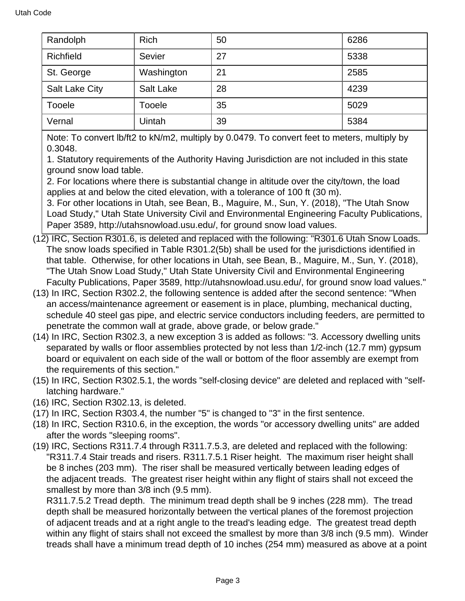| Randolph              | <b>Rich</b> | 50 | 6286 |
|-----------------------|-------------|----|------|
| Richfield             | Sevier      | 27 | 5338 |
| St. George            | Washington  | 21 | 2585 |
| <b>Salt Lake City</b> | Salt Lake   | 28 | 4239 |
| Tooele                | Tooele      | 35 | 5029 |
| Vernal                | Uintah      | 39 | 5384 |

Note: To convert lb/ft2 to kN/m2, multiply by 0.0479. To convert feet to meters, multiply by 0.3048.

1. Statutory requirements of the Authority Having Jurisdiction are not included in this state ground snow load table.

2. For locations where there is substantial change in altitude over the city/town, the load applies at and below the cited elevation, with a tolerance of 100 ft (30 m).

3. For other locations in Utah, see Bean, B., Maguire, M., Sun, Y. (2018), "The Utah Snow Load Study," Utah State University Civil and Environmental Engineering Faculty Publications, Paper 3589, http://utahsnowload.usu.edu/, for ground snow load values.

- (12) IRC, Section R301.6, is deleted and replaced with the following: "R301.6 Utah Snow Loads. The snow loads specified in Table R301.2(5b) shall be used for the jurisdictions identified in that table. Otherwise, for other locations in Utah, see Bean, B., Maguire, M., Sun, Y. (2018), "The Utah Snow Load Study," Utah State University Civil and Environmental Engineering Faculty Publications, Paper 3589, http://utahsnowload.usu.edu/, for ground snow load values."
- (13) In IRC, Section R302.2, the following sentence is added after the second sentence: "When an access/maintenance agreement or easement is in place, plumbing, mechanical ducting, schedule 40 steel gas pipe, and electric service conductors including feeders, are permitted to penetrate the common wall at grade, above grade, or below grade."
- (14) In IRC, Section R302.3, a new exception 3 is added as follows: "3. Accessory dwelling units separated by walls or floor assemblies protected by not less than 1/2-inch (12.7 mm) gypsum board or equivalent on each side of the wall or bottom of the floor assembly are exempt from the requirements of this section."
- (15) In IRC, Section R302.5.1, the words "self-closing device" are deleted and replaced with "selflatching hardware."
- (16) IRC, Section R302.13, is deleted.
- (17) In IRC, Section R303.4, the number "5" is changed to "3" in the first sentence.
- (18) In IRC, Section R310.6, in the exception, the words "or accessory dwelling units" are added after the words "sleeping rooms".
- (19) IRC, Sections R311.7.4 through R311.7.5.3, are deleted and replaced with the following: "R311.7.4 Stair treads and risers. R311.7.5.1 Riser height. The maximum riser height shall be 8 inches (203 mm). The riser shall be measured vertically between leading edges of the adjacent treads. The greatest riser height within any flight of stairs shall not exceed the smallest by more than 3/8 inch (9.5 mm).

R311.7.5.2 Tread depth. The minimum tread depth shall be 9 inches (228 mm). The tread depth shall be measured horizontally between the vertical planes of the foremost projection of adjacent treads and at a right angle to the tread's leading edge. The greatest tread depth within any flight of stairs shall not exceed the smallest by more than 3/8 inch (9.5 mm). Winder treads shall have a minimum tread depth of 10 inches (254 mm) measured as above at a point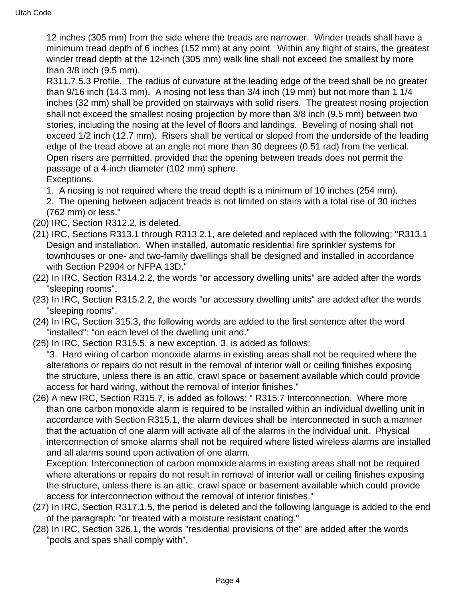12 inches (305 mm) from the side where the treads are narrower. Winder treads shall have a minimum tread depth of 6 inches (152 mm) at any point. Within any flight of stairs, the greatest winder tread depth at the 12-inch (305 mm) walk line shall not exceed the smallest by more than 3/8 inch (9.5 mm).

R311.7.5.3 Profile. The radius of curvature at the leading edge of the tread shall be no greater than 9/16 inch (14.3 mm). A nosing not less than 3/4 inch (19 mm) but not more than 1 1/4 inches (32 mm) shall be provided on stairways with solid risers. The greatest nosing projection shall not exceed the smallest nosing projection by more than 3/8 inch (9.5 mm) between two stories, including the nosing at the level of floors and landings. Beveling of nosing shall not exceed 1/2 inch (12.7 mm). Risers shall be vertical or sloped from the underside of the leading edge of the tread above at an angle not more than 30 degrees (0.51 rad) from the vertical. Open risers are permitted, provided that the opening between treads does not permit the passage of a 4-inch diameter (102 mm) sphere. Exceptions.

1. A nosing is not required where the tread depth is a minimum of 10 inches (254 mm).

2. The opening between adjacent treads is not limited on stairs with a total rise of 30 inches (762 mm) or less."

- (20) IRC, Section R312.2, is deleted.
- (21) IRC, Sections R313.1 through R313.2.1, are deleted and replaced with the following: "R313.1 Design and installation. When installed, automatic residential fire sprinkler systems for townhouses or one- and two-family dwellings shall be designed and installed in accordance with Section P2904 or NFPA 13D."
- (22) In IRC, Section R314.2.2, the words "or accessory dwelling units" are added after the words "sleeping rooms".
- (23) In IRC, Section R315.2.2, the words "or accessory dwelling units" are added after the words "sleeping rooms".
- (24) In IRC, Section 315.3, the following words are added to the first sentence after the word "installed": "on each level of the dwelling unit and."
- (25) In IRC, Section R315.5, a new exception, 3, is added as follows:

"3. Hard wiring of carbon monoxide alarms in existing areas shall not be required where the alterations or repairs do not result in the removal of interior wall or ceiling finishes exposing the structure, unless there is an attic, crawl space or basement available which could provide access for hard wiring, without the removal of interior finishes."

(26) A new IRC, Section R315.7, is added as follows: " R315.7 Interconnection. Where more than one carbon monoxide alarm is required to be installed within an individual dwelling unit in accordance with Section R315.1, the alarm devices shall be interconnected in such a manner that the actuation of one alarm will activate all of the alarms in the individual unit. Physical interconnection of smoke alarms shall not be required where listed wireless alarms are installed and all alarms sound upon activation of one alarm.

Exception: Interconnection of carbon monoxide alarms in existing areas shall not be required where alterations or repairs do not result in removal of interior wall or ceiling finishes exposing the structure, unless there is an attic, crawl space or basement available which could provide access for interconnection without the removal of interior finishes."

- (27) In IRC, Section R317.1.5, the period is deleted and the following language is added to the end of the paragraph: "or treated with a moisture resistant coating."
- (28) In IRC, Section 326.1, the words "residential provisions of the" are added after the words "pools and spas shall comply with".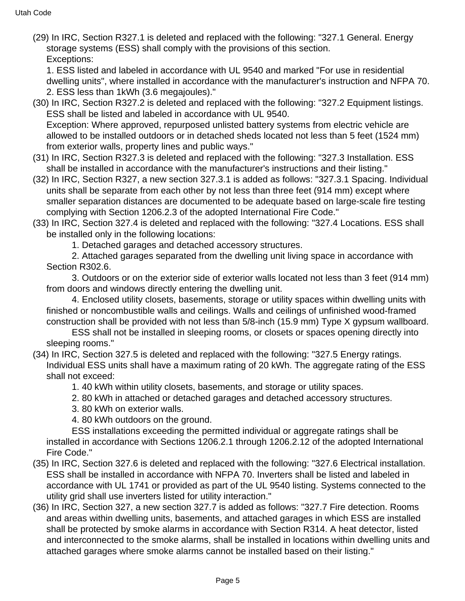(29) In IRC, Section R327.1 is deleted and replaced with the following: "327.1 General. Energy storage systems (ESS) shall comply with the provisions of this section. Exceptions:

1. ESS listed and labeled in accordance with UL 9540 and marked "For use in residential dwelling units", where installed in accordance with the manufacturer's instruction and NFPA 70. 2. ESS less than 1kWh (3.6 megajoules)."

(30) In IRC, Section R327.2 is deleted and replaced with the following: "327.2 Equipment listings. ESS shall be listed and labeled in accordance with UL 9540. Exception: Where approved, repurposed unlisted battery systems from electric vehicle are

allowed to be installed outdoors or in detached sheds located not less than 5 feet (1524 mm) from exterior walls, property lines and public ways."

- (31) In IRC, Section R327.3 is deleted and replaced with the following: "327.3 Installation. ESS shall be installed in accordance with the manufacturer's instructions and their listing."
- (32) In IRC, Section R327, a new section 327.3.1 is added as follows: "327.3.1 Spacing. Individual units shall be separate from each other by not less than three feet (914 mm) except where smaller separation distances are documented to be adequate based on large-scale fire testing complying with Section 1206.2.3 of the adopted International Fire Code."
- (33) In IRC, Section 327.4 is deleted and replaced with the following: "327.4 Locations. ESS shall be installed only in the following locations:
	- 1. Detached garages and detached accessory structures.

 2. Attached garages separated from the dwelling unit living space in accordance with Section R302.6.

 3. Outdoors or on the exterior side of exterior walls located not less than 3 feet (914 mm) from doors and windows directly entering the dwelling unit.

 4. Enclosed utility closets, basements, storage or utility spaces within dwelling units with finished or noncombustible walls and ceilings. Walls and ceilings of unfinished wood-framed construction shall be provided with not less than 5/8-inch (15.9 mm) Type X gypsum wallboard.

 ESS shall not be installed in sleeping rooms, or closets or spaces opening directly into sleeping rooms."

(34) In IRC, Section 327.5 is deleted and replaced with the following: "327.5 Energy ratings. Individual ESS units shall have a maximum rating of 20 kWh. The aggregate rating of the ESS shall not exceed:

1. 40 kWh within utility closets, basements, and storage or utility spaces.

2. 80 kWh in attached or detached garages and detached accessory structures.

3. 80 kWh on exterior walls.

4. 80 kWh outdoors on the ground.

 ESS installations exceeding the permitted individual or aggregate ratings shall be installed in accordance with Sections 1206.2.1 through 1206.2.12 of the adopted International Fire Code."

- (35) In IRC, Section 327.6 is deleted and replaced with the following: "327.6 Electrical installation. ESS shall be installed in accordance with NFPA 70. Inverters shall be listed and labeled in accordance with UL 1741 or provided as part of the UL 9540 listing. Systems connected to the utility grid shall use inverters listed for utility interaction."
- (36) In IRC, Section 327, a new section 327.7 is added as follows: "327.7 Fire detection. Rooms and areas within dwelling units, basements, and attached garages in which ESS are installed shall be protected by smoke alarms in accordance with Section R314. A heat detector, listed and interconnected to the smoke alarms, shall be installed in locations within dwelling units and attached garages where smoke alarms cannot be installed based on their listing."